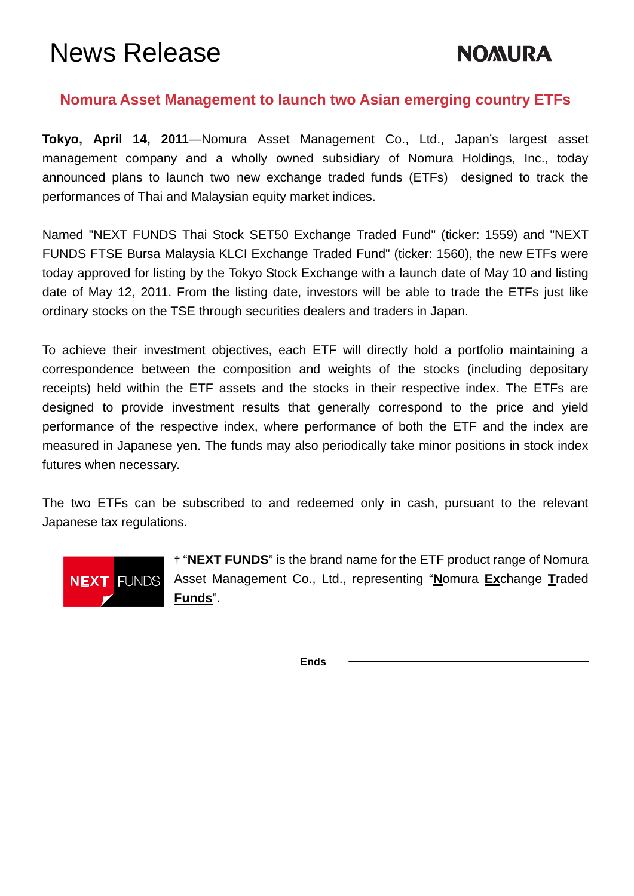# **Nomura Asset Management to launch two Asian emerging country ETFs**

**Tokyo, April 14, 2011**—Nomura Asset Management Co., Ltd., Japan's largest asset management company and a wholly owned subsidiary of Nomura Holdings, Inc., today announced plans to launch two new exchange traded funds (ETFs) designed to track the performances of Thai and Malaysian equity market indices.

Named "NEXT FUNDS Thai Stock SET50 Exchange Traded Fund" (ticker: 1559) and "NEXT FUNDS FTSE Bursa Malaysia KLCI Exchange Traded Fund" (ticker: 1560), the new ETFs were today approved for listing by the Tokyo Stock Exchange with a launch date of May 10 and listing date of May 12, 2011. From the listing date, investors will be able to trade the ETFs just like ordinary stocks on the TSE through securities dealers and traders in Japan.

To achieve their investment objectives, each ETF will directly hold a portfolio maintaining a correspondence between the composition and weights of the stocks (including depositary receipts) held within the ETF assets and the stocks in their respective index. The ETFs are designed to provide investment results that generally correspond to the price and yield performance of the respective index, where performance of both the ETF and the index are measured in Japanese yen. The funds may also periodically take minor positions in stock index futures when necessary.

The two ETFs can be subscribed to and redeemed only in cash, pursuant to the relevant Japanese tax regulations.



† "**NEXT FUNDS**" is the brand name for the ETF product range of Nomura Asset Management Co., Ltd., representing "**N**omura **Ex**change **T**raded **Funds**".

**Ends**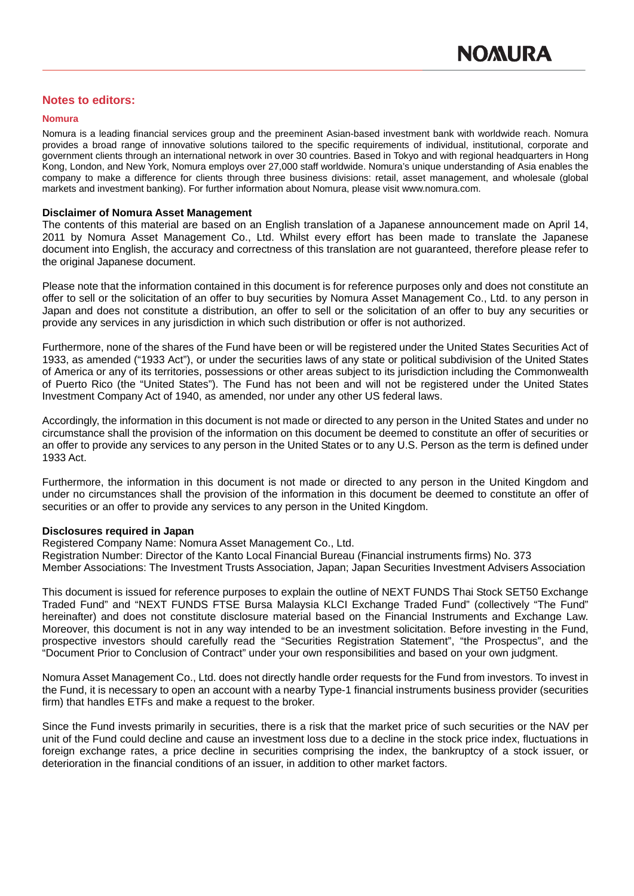# **Notes to editors:**

#### **Nomura**

Nomura is a leading financial services group and the preeminent Asian-based investment bank with worldwide reach. Nomura provides a broad range of innovative solutions tailored to the specific requirements of individual, institutional, corporate and government clients through an international network in over 30 countries. Based in Tokyo and with regional headquarters in Hong Kong, London, and New York, Nomura employs over 27,000 staff worldwide. Nomura's unique understanding of Asia enables the company to make a difference for clients through three business divisions: retail, asset management, and wholesale (global markets and investment banking). For further information about Nomura, please visit www.nomura.com.

#### **Disclaimer of Nomura Asset Management**

The contents of this material are based on an English translation of a Japanese announcement made on April 14, 2011 by Nomura Asset Management Co., Ltd. Whilst every effort has been made to translate the Japanese document into English, the accuracy and correctness of this translation are not guaranteed, therefore please refer to the original Japanese document.

Please note that the information contained in this document is for reference purposes only and does not constitute an offer to sell or the solicitation of an offer to buy securities by Nomura Asset Management Co., Ltd. to any person in Japan and does not constitute a distribution, an offer to sell or the solicitation of an offer to buy any securities or provide any services in any jurisdiction in which such distribution or offer is not authorized.

Furthermore, none of the shares of the Fund have been or will be registered under the United States Securities Act of 1933, as amended ("1933 Act"), or under the securities laws of any state or political subdivision of the United States of America or any of its territories, possessions or other areas subject to its jurisdiction including the Commonwealth of Puerto Rico (the "United States"). The Fund has not been and will not be registered under the United States Investment Company Act of 1940, as amended, nor under any other US federal laws.

Accordingly, the information in this document is not made or directed to any person in the United States and under no circumstance shall the provision of the information on this document be deemed to constitute an offer of securities or an offer to provide any services to any person in the United States or to any U.S. Person as the term is defined under 1933 Act.

Furthermore, the information in this document is not made or directed to any person in the United Kingdom and under no circumstances shall the provision of the information in this document be deemed to constitute an offer of securities or an offer to provide any services to any person in the United Kingdom.

## **Disclosures required in Japan**

Registered Company Name: Nomura Asset Management Co., Ltd.

Registration Number: Director of the Kanto Local Financial Bureau (Financial instruments firms) No. 373

Member Associations: The Investment Trusts Association, Japan; Japan Securities Investment Advisers Association

This document is issued for reference purposes to explain the outline of NEXT FUNDS Thai Stock SET50 Exchange Traded Fund" and "NEXT FUNDS FTSE Bursa Malaysia KLCI Exchange Traded Fund" (collectively "The Fund" hereinafter) and does not constitute disclosure material based on the Financial Instruments and Exchange Law. Moreover, this document is not in any way intended to be an investment solicitation. Before investing in the Fund, prospective investors should carefully read the "Securities Registration Statement", "the Prospectus", and the "Document Prior to Conclusion of Contract" under your own responsibilities and based on your own judgment.

Nomura Asset Management Co., Ltd. does not directly handle order requests for the Fund from investors. To invest in the Fund, it is necessary to open an account with a nearby Type-1 financial instruments business provider (securities firm) that handles ETFs and make a request to the broker.

Since the Fund invests primarily in securities, there is a risk that the market price of such securities or the NAV per unit of the Fund could decline and cause an investment loss due to a decline in the stock price index, fluctuations in foreign exchange rates, a price decline in securities comprising the index, the bankruptcy of a stock issuer, or deterioration in the financial conditions of an issuer, in addition to other market factors.